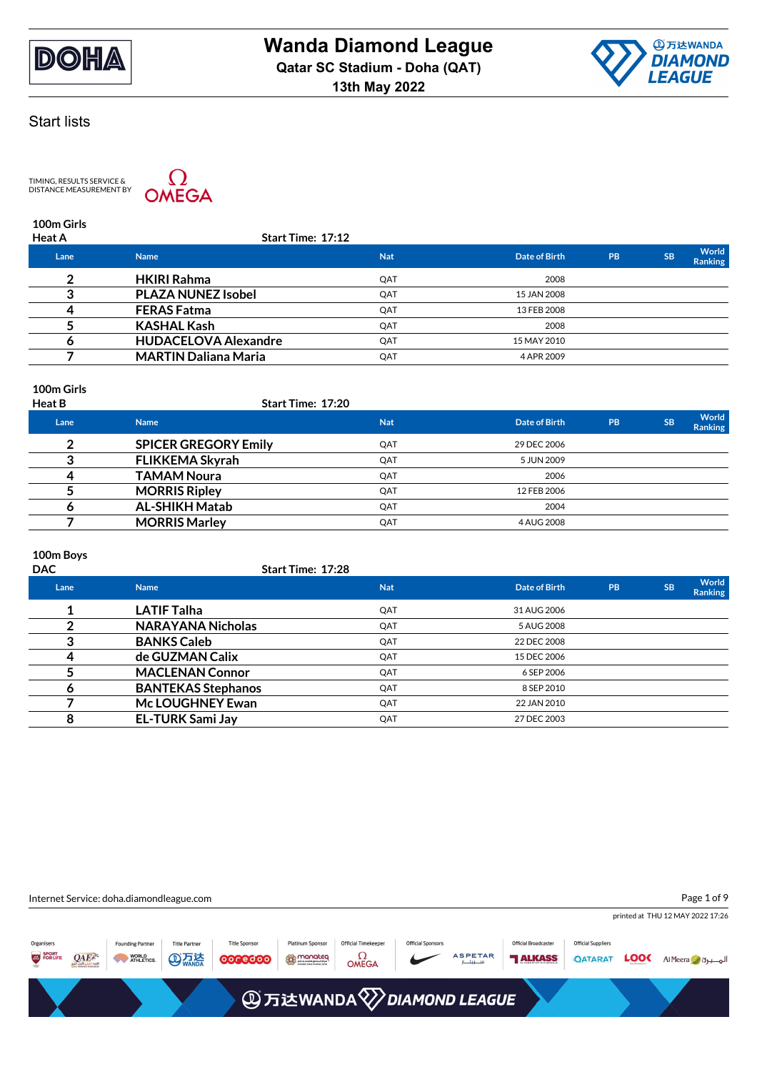



TIMING, RESULTS SERVICE &<br>DISTANCE MEASUREMENT BY



**100m Girls**

| <b>Heat A</b> | Start Time: 17:12           |            |               |           |           |                  |
|---------------|-----------------------------|------------|---------------|-----------|-----------|------------------|
| Lane          | <b>Name</b>                 | <b>Nat</b> | Date of Birth | <b>PB</b> | <b>SB</b> | World<br>Ranking |
|               | <b>HKIRI Rahma</b>          | QAT        | 2008          |           |           |                  |
|               | <b>PLAZA NUNEZ Isobel</b>   | QAT        | 15 JAN 2008   |           |           |                  |
|               | <b>FERAS Fatma</b>          | QAT        | 13 FEB 2008   |           |           |                  |
|               | <b>KASHAL Kash</b>          | QAT        | 2008          |           |           |                  |
|               | <b>HUDACELOVA Alexandre</b> | QAT        | 15 MAY 2010   |           |           |                  |
|               | <b>MARTIN Daliana Maria</b> | QAT        | 4 APR 2009    |           |           |                  |
|               |                             |            |               |           |           |                  |

## **100m Girls**

| <b>Heat B</b> | <b>Start Time: 17:20</b>    |            |               |           |           |                  |
|---------------|-----------------------------|------------|---------------|-----------|-----------|------------------|
| Lane          | <b>Name</b>                 | <b>Nat</b> | Date of Birth | <b>PB</b> | <b>SB</b> | World<br>Ranking |
|               | <b>SPICER GREGORY Emily</b> | QAT        | 29 DEC 2006   |           |           |                  |
|               | <b>FLIKKEMA Skyrah</b>      | QAT        | 5 JUN 2009    |           |           |                  |
|               | <b>TAMAM Noura</b>          | QAT        | 2006          |           |           |                  |
|               | <b>MORRIS Ripley</b>        | QAT        | 12 FEB 2006   |           |           |                  |
|               | <b>AL-SHIKH Matab</b>       | QAT        | 2004          |           |           |                  |
|               | <b>MORRIS Marley</b>        | QAT        | 4 AUG 2008    |           |           |                  |

### **100m Boys**

| <b>DAC</b> | Start Time: 17:28         |            |               |           |           |                  |
|------------|---------------------------|------------|---------------|-----------|-----------|------------------|
| Lane       | <b>Name</b>               | <b>Nat</b> | Date of Birth | <b>PB</b> | <b>SB</b> | World<br>Ranking |
|            | <b>LATIF Talha</b>        | QAT        | 31 AUG 2006   |           |           |                  |
|            | <b>NARAYANA Nicholas</b>  | QAT        | 5 AUG 2008    |           |           |                  |
|            | <b>BANKS Caleb</b>        | QAT        | 22 DEC 2008   |           |           |                  |
|            | de GUZMAN Calix           | QAT        | 15 DEC 2006   |           |           |                  |
|            | <b>MACLENAN Connor</b>    | QAT        | 6 SEP 2006    |           |           |                  |
| o          | <b>BANTEKAS Stephanos</b> | QAT        | 8 SEP 2010    |           |           |                  |
|            | Mc LOUGHNEY Ewan          | QAT        | 22 JAN 2010   |           |           |                  |
| 8          | <b>EL-TURK Sami Jay</b>   | QAT        | 27 DEC 2003   |           |           |                  |

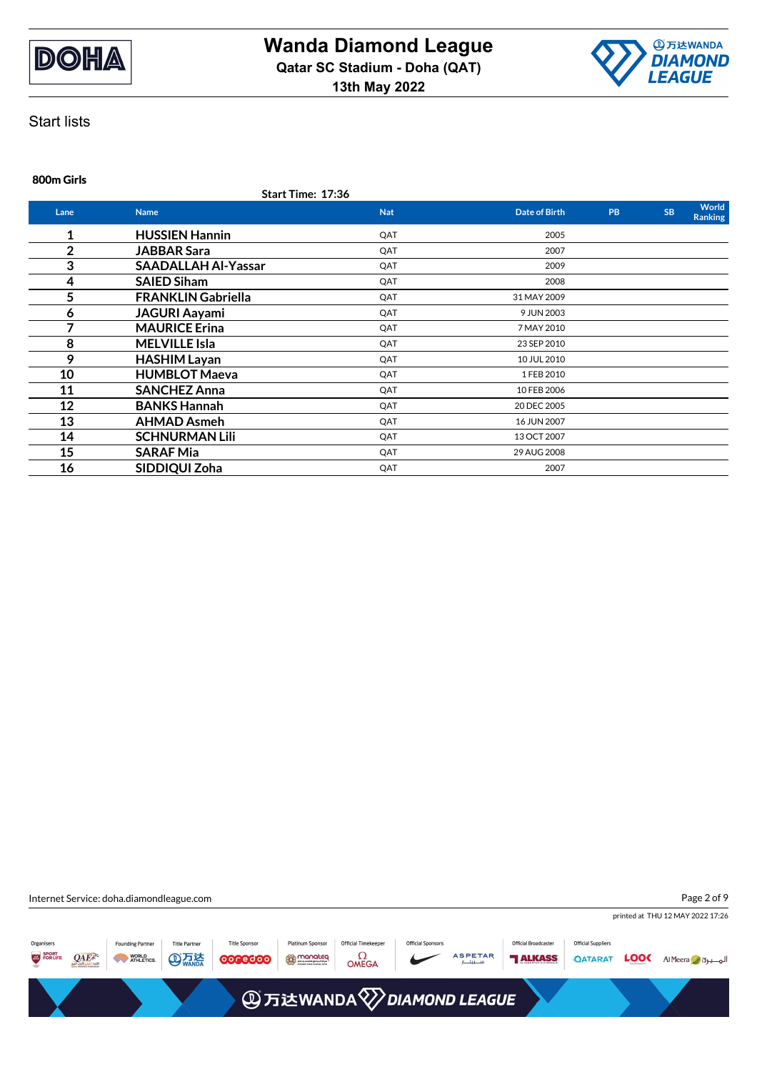



## **800m Girls**

**Start Time: 17:36**

| Lane | <b>Name</b>                | <b>Nat</b> | <b>Date of Birth</b> | <b>PB</b> | <b>SB</b> | World<br><b>Ranking</b> |
|------|----------------------------|------------|----------------------|-----------|-----------|-------------------------|
| 1    | <b>HUSSIEN Hannin</b>      | QAT        | 2005                 |           |           |                         |
| 2    | <b>JABBAR Sara</b>         | QAT        | 2007                 |           |           |                         |
| 3    | <b>SAADALLAH Al-Yassar</b> | QAT        | 2009                 |           |           |                         |
| 4    | <b>SAIED Siham</b>         | QAT        | 2008                 |           |           |                         |
| 5    | <b>FRANKLIN Gabriella</b>  | QAT        | 31 MAY 2009          |           |           |                         |
| 6    | <b>JAGURI Aayami</b>       | QAT        | 9 JUN 2003           |           |           |                         |
| 7    | <b>MAURICE Erina</b>       | QAT        | 7 MAY 2010           |           |           |                         |
| 8    | <b>MELVILLE Isla</b>       | QAT        | 23 SEP 2010          |           |           |                         |
| 9    | <b>HASHIM Layan</b>        | QAT        | 10 JUL 2010          |           |           |                         |
| 10   | <b>HUMBLOT Maeva</b>       | QAT        | 1 FEB 2010           |           |           |                         |
| 11   | <b>SANCHEZ Anna</b>        | QAT        | 10 FEB 2006          |           |           |                         |
| 12   | <b>BANKS Hannah</b>        | QAT        | 20 DEC 2005          |           |           |                         |
| 13   | <b>AHMAD Asmeh</b>         | QAT        | 16 JUN 2007          |           |           |                         |
| 14   | <b>SCHNURMAN Lili</b>      | QAT        | 13 OCT 2007          |           |           |                         |
| 15   | <b>SARAF Mia</b>           | QAT        | 29 AUG 2008          |           |           |                         |
| 16   | SIDDIQUI Zoha              | QAT        | 2007                 |           |           |                         |

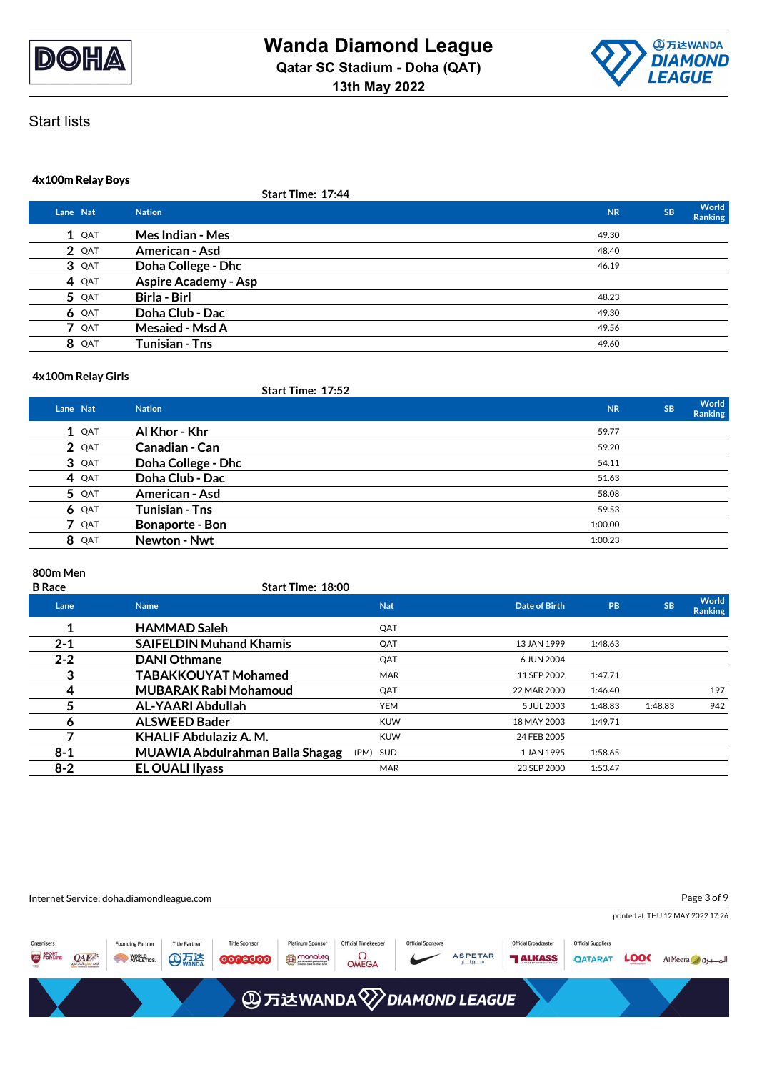



### **4x100m Relay Boys**

|   |          | Start Time: 17:44           |           |           |                  |
|---|----------|-----------------------------|-----------|-----------|------------------|
|   | Lane Nat | <b>Nation</b>               | <b>NR</b> | <b>SB</b> | World<br>Ranking |
|   | $1$ QAT  | Mes Indian - Mes            | 49.30     |           |                  |
|   | 2 QAT    | American - Asd              | 48.40     |           |                  |
|   | 3 QAT    | Doha College - Dhc          | 46.19     |           |                  |
|   | 4 QAT    | <b>Aspire Academy - Asp</b> |           |           |                  |
|   | 5 QAT    | Birla - Birl                | 48.23     |           |                  |
|   | 6 QAT    | Doha Club - Dac             | 49.30     |           |                  |
| 7 | QAT      | <b>Mesaied - Msd A</b>      | 49.56     |           |                  |
|   | 8 QAT    | Tunisian - Tns              | 49.60     |           |                  |

#### **4x100m Relay Girls**

### **Start Time: 17:52 Lane Nat Nation NR SB World Ranking 1** QAT **Al Khor - Khr** 59.77 **2**  $QAT$  **Canadian - Can** 59.20 **3** QAT **Doha College - Dhc** 54.11 **4** QAT **Doha Club - Dac** 51.63 **5** QAT **American - Asd** 58.08 **6** QAT **Tunisian - Tns** 59.53 **7** QAT **Bonaporte - Bon** 1:00.00 **8** QAT **Newton - Nwt** 1:00.23

### **800m Men**

| <b>B</b> Race | <b>Start Time: 18:00</b>        |            |                      |         |           |                  |
|---------------|---------------------------------|------------|----------------------|---------|-----------|------------------|
| Lane          | <b>Name</b>                     | <b>Nat</b> | <b>Date of Birth</b> | PB      | <b>SB</b> | World<br>Ranking |
| 1             | <b>HAMMAD Saleh</b>             | QAT        |                      |         |           |                  |
| $2 - 1$       | <b>SAIFELDIN Muhand Khamis</b>  | QAT        | 13 JAN 1999          | 1:48.63 |           |                  |
| $2 - 2$       | <b>DANI Othmane</b>             | QAT        | 6 JUN 2004           |         |           |                  |
| 3             | <b>TABAKKOUYAT Mohamed</b>      | <b>MAR</b> | 11 SEP 2002          | 1:47.71 |           |                  |
| 4             | <b>MUBARAK Rabi Mohamoud</b>    | QAT        | 22 MAR 2000          | 1:46.40 |           | 197              |
| 5             | AL-YAARI Abdullah               | <b>YEM</b> | 5 JUL 2003           | 1:48.83 | 1:48.83   | 942              |
| Ô             | <b>ALSWEED Bader</b>            | <b>KUW</b> | 18 MAY 2003          | 1:49.71 |           |                  |
|               | <b>KHALIF Abdulaziz A. M.</b>   | <b>KUW</b> | 24 FEB 2005          |         |           |                  |
| $8 - 1$       | MUAWIA Abdulrahman Balla Shagag | (PM) SUD   | 1 JAN 1995           | 1:58.65 |           |                  |
| $8-2$         | <b>EL OUALI Ilyass</b>          | <b>MAR</b> | 23 SEP 2000          | 1:53.47 |           |                  |
|               |                                 |            |                      |         |           |                  |

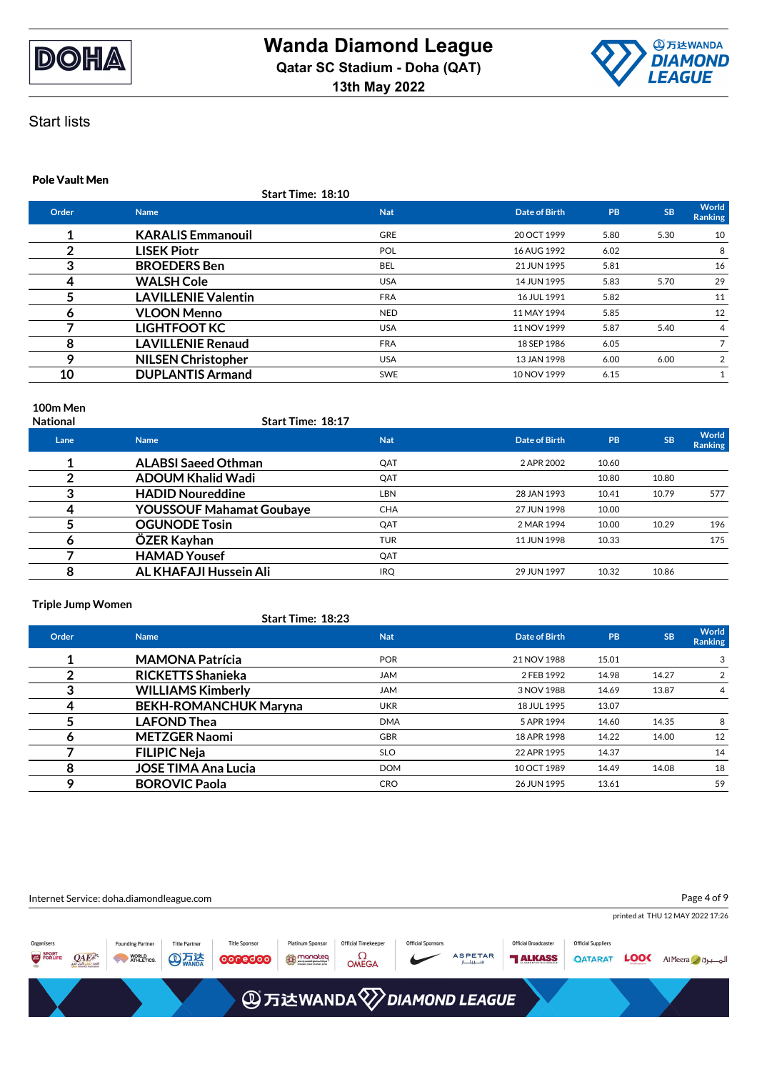



#### **Pole Vault Men**

**Start Time: 18:10**

| Order | <b>Name</b>                | <b>Nat</b> | Date of Birth | PB   | <b>SB</b> | World<br>Ranking |
|-------|----------------------------|------------|---------------|------|-----------|------------------|
|       | <b>KARALIS Emmanouil</b>   | <b>GRE</b> | 20 OCT 1999   | 5.80 | 5.30      | 10               |
| っ     | <b>LISEK Piotr</b>         | <b>POL</b> | 16 AUG 1992   | 6.02 |           | 8                |
| 3     | <b>BROEDERS Ben</b>        | <b>BEL</b> | 21 JUN 1995   | 5.81 |           | 16               |
| 4     | <b>WALSH Cole</b>          | <b>USA</b> | 14 JUN 1995   | 5.83 | 5.70      | 29               |
|       | <b>LAVILLENIE Valentin</b> | <b>FRA</b> | 16 JUL 1991   | 5.82 |           | 11               |
| O     | <b>VLOON Menno</b>         | <b>NED</b> | 11 MAY 1994   | 5.85 |           | 12               |
|       | <b>LIGHTFOOT KC</b>        | <b>USA</b> | 11 NOV 1999   | 5.87 | 5.40      | 4                |
| 8     | <b>LAVILLENIE Renaud</b>   | <b>FRA</b> | 18 SEP 1986   | 6.05 |           |                  |
| 9     | <b>NILSEN Christopher</b>  | <b>USA</b> | 13 JAN 1998   | 6.00 | 6.00      | 2                |
| 10    | <b>DUPLANTIS Armand</b>    | <b>SWE</b> | 10 NOV 1999   | 6.15 |           |                  |
|       |                            |            |               |      |           |                  |

**100m Men**

**National Start Time: 18:17**

| Lane | <b>Name</b>                     | <b>Nat</b> | Date of Birth | <b>PB</b> | <b>SB</b> | <b>World</b><br><b>Ranking</b> |
|------|---------------------------------|------------|---------------|-----------|-----------|--------------------------------|
|      | <b>ALABSI Saeed Othman</b>      | QAT        | 2 APR 2002    | 10.60     |           |                                |
|      | <b>ADOUM Khalid Wadi</b>        | QAT        |               | 10.80     | 10.80     |                                |
| 3    | <b>HADID Noureddine</b>         | LBN        | 28 JAN 1993   | 10.41     | 10.79     | 577                            |
| 4    | <b>YOUSSOUF Mahamat Goubaye</b> | <b>CHA</b> | 27 JUN 1998   | 10.00     |           |                                |
|      | <b>OGUNODE Tosin</b>            | QAT        | 2 MAR 1994    | 10.00     | 10.29     | 196                            |
| O    | ÖZER Kayhan                     | <b>TUR</b> | 11 JUN 1998   | 10.33     |           | 175                            |
|      | <b>HAMAD Yousef</b>             | QAT        |               |           |           |                                |
| 8    | AL KHAFAJI Hussein Ali          | <b>IRQ</b> | 29 JUN 1997   | 10.32     | 10.86     |                                |
|      |                                 |            |               |           |           |                                |

#### **Triple Jump Women**

### **Start Time: 18:23**

| Order | <b>Name</b>                  | <b>Nat</b> | Date of Birth | PB    | <b>SB</b> | World<br><b>Ranking</b> |
|-------|------------------------------|------------|---------------|-------|-----------|-------------------------|
|       | <b>MAMONA Patrícia</b>       | <b>POR</b> | 21 NOV 1988   | 15.01 |           | 3                       |
|       | <b>RICKETTS Shanieka</b>     | <b>JAM</b> | 2 FEB 1992    | 14.98 | 14.27     | 2                       |
| 3     | <b>WILLIAMS Kimberly</b>     | <b>JAM</b> | 3 NOV 1988    | 14.69 | 13.87     | 4                       |
|       | <b>BEKH-ROMANCHUK Maryna</b> | <b>UKR</b> | 18 JUL 1995   | 13.07 |           |                         |
|       | <b>LAFOND Thea</b>           | <b>DMA</b> | 5 APR 1994    | 14.60 | 14.35     | 8                       |
| o     | <b>METZGER Naomi</b>         | <b>GBR</b> | 18 APR 1998   | 14.22 | 14.00     | 12                      |
|       | <b>FILIPIC Neja</b>          | <b>SLO</b> | 22 APR 1995   | 14.37 |           | 14                      |
| 8     | <b>JOSE TIMA Ana Lucia</b>   | <b>DOM</b> | 10 OCT 1989   | 14.49 | 14.08     | 18                      |
| Q     | <b>BOROVIC Paola</b>         | <b>CRO</b> | 26 JUN 1995   | 13.61 |           | 59                      |

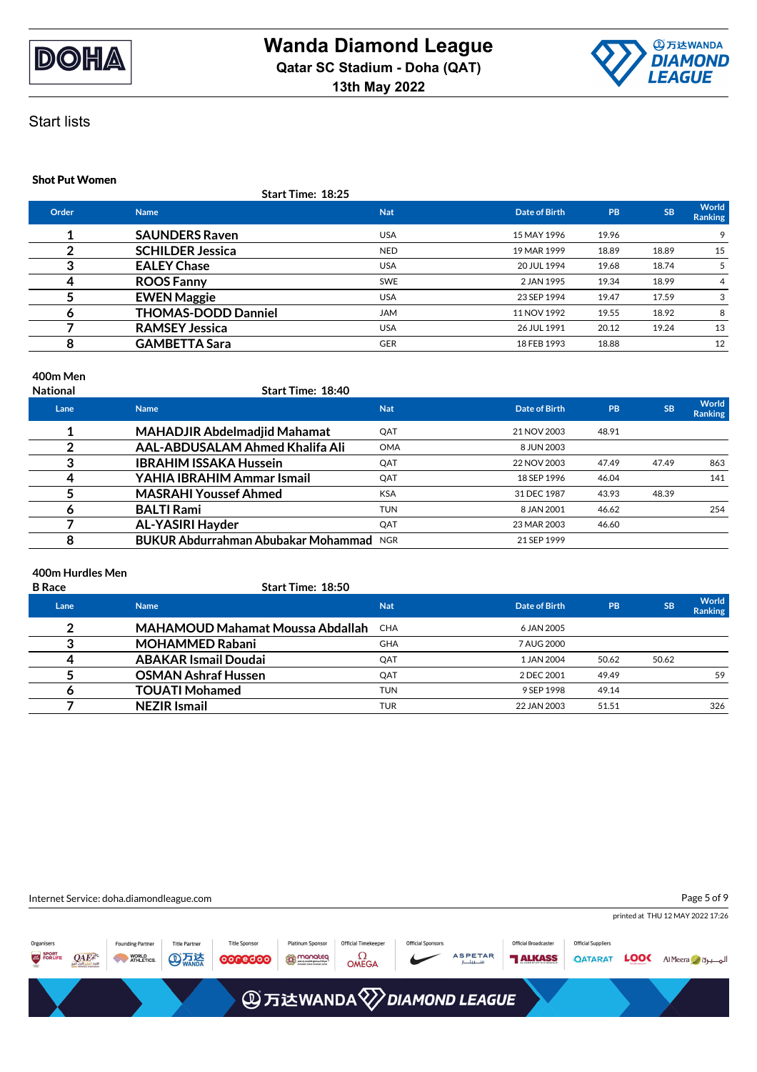



### **Shot Put Women**

| <b>Start Time: 18:25</b> |  |
|--------------------------|--|
|--------------------------|--|

| Order | <b>Name</b>                | <b>Nat</b> | Date of Birth | PB    | <b>SB</b> | World<br><b>Ranking</b> |
|-------|----------------------------|------------|---------------|-------|-----------|-------------------------|
|       | <b>SAUNDERS Raven</b>      | <b>USA</b> | 15 MAY 1996   | 19.96 |           | 9                       |
|       | <b>SCHILDER Jessica</b>    | <b>NED</b> | 19 MAR 1999   | 18.89 | 18.89     | 15                      |
|       | <b>EALEY Chase</b>         | <b>USA</b> | 20 JUL 1994   | 19.68 | 18.74     | 5                       |
|       | <b>ROOS Fanny</b>          | <b>SWE</b> | 2 JAN 1995    | 19.34 | 18.99     | 4                       |
|       | <b>EWEN Maggie</b>         | <b>USA</b> | 23 SEP 1994   | 19.47 | 17.59     | 3                       |
|       | <b>THOMAS-DODD Danniel</b> | <b>JAM</b> | 11 NOV 1992   | 19.55 | 18.92     | 8                       |
|       | <b>RAMSEY Jessica</b>      | <b>USA</b> | 26 JUL 1991   | 20.12 | 19.24     | 13                      |
|       | <b>GAMBETTA Sara</b>       | <b>GER</b> | 18 FEB 1993   | 18.88 |           | 12                      |
|       |                            |            |               |       |           |                         |

### **400m Men**

| <b>National</b> | <b>Start Time: 18:40</b>            |            |               |       |           |                  |
|-----------------|-------------------------------------|------------|---------------|-------|-----------|------------------|
| Lane            | <b>Name</b>                         | <b>Nat</b> | Date of Birth | PB    | <b>SB</b> | World<br>Ranking |
|                 | <b>MAHADJIR Abdelmadjid Mahamat</b> | QAT        | 21 NOV 2003   | 48.91 |           |                  |
|                 | AAL-ABDUSALAM Ahmed Khalifa Ali     | <b>OMA</b> | 8 JUN 2003    |       |           |                  |
|                 | <b>IBRAHIM ISSAKA Hussein</b>       | QAT        | 22 NOV 2003   | 47.49 | 47.49     | 863              |
|                 | YAHIA IBRAHIM Ammar Ismail          | QAT        | 18 SEP 1996   | 46.04 |           | 141              |
|                 | <b>MASRAHI Youssef Ahmed</b>        | <b>KSA</b> | 31 DEC 1987   | 43.93 | 48.39     |                  |
| o               | <b>BALTI Rami</b>                   | <b>TUN</b> | 8 JAN 2001    | 46.62 |           | 254              |
|                 | AL-YASIRI Hayder                    | QAT        | 23 MAR 2003   | 46.60 |           |                  |
| o               | BUKUR Abdurrahman Abubakar Mohammad | <b>NGR</b> | 21 SEP 1999   |       |           |                  |

### **400m Hurdles Men**

| <b>SB</b><br>Date of Birth<br><b>PB</b><br><b>Nat</b><br>Lane<br><b>Name</b> | <b>World</b>   |
|------------------------------------------------------------------------------|----------------|
|                                                                              | <b>Ranking</b> |
| ົ<br><b>MAHAMOUD Mahamat Moussa Abdallah</b><br><b>CHA</b><br>6 JAN 2005     |                |
| <b>MOHAMMED Rabani</b><br><b>GHA</b><br>7 AUG 2000                           |                |
| <b>ABAKAR Ismail Doudai</b><br>QAT<br>50.62<br>50.62<br>1 JAN 2004<br>4      |                |
| <b>OSMAN Ashraf Hussen</b><br>QAT<br>49.49<br>2 DEC 2001                     | 59             |
| <b>TOUATI Mohamed</b><br><b>TUN</b><br>49.14<br>9 SEP 1998                   |                |
| <b>NEZIR Ismail</b><br><b>TUR</b><br>22 JAN 2003<br>51.51                    | 326            |

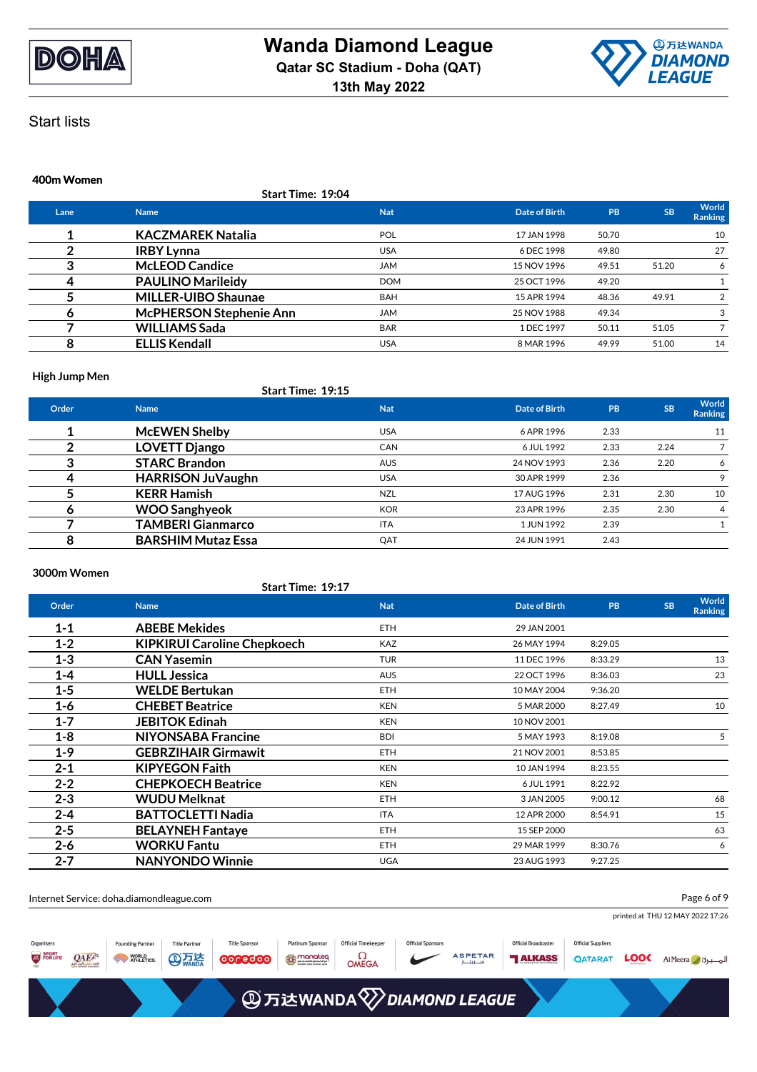



#### **400m Women**

**Start Time: 19:04**

| Lane | <b>Name</b>                    | <b>Nat</b> | Date of Birth | <b>PB</b> | <b>SB</b> | World<br>Ranking |
|------|--------------------------------|------------|---------------|-----------|-----------|------------------|
|      | <b>KACZMAREK Natalia</b>       | <b>POL</b> | 17 JAN 1998   | 50.70     |           | 10               |
|      | <b>IRBY Lynna</b>              | <b>USA</b> | 6 DEC 1998    | 49.80     |           | 27               |
|      | <b>McLEOD Candice</b>          | <b>JAM</b> | 15 NOV 1996   | 49.51     | 51.20     | 6                |
| 4    | <b>PAULINO Marileidy</b>       | <b>DOM</b> | 25 OCT 1996   | 49.20     |           |                  |
|      | <b>MILLER-UIBO Shaunae</b>     | <b>BAH</b> | 15 APR 1994   | 48.36     | 49.91     |                  |
| o    | <b>McPHERSON Stephenie Ann</b> | <b>JAM</b> | 25 NOV 1988   | 49.34     |           | 3                |
|      | <b>WILLIAMS Sada</b>           | <b>BAR</b> | 1 DEC 1997    | 50.11     | 51.05     |                  |
|      | <b>ELLIS Kendall</b>           | <b>USA</b> | 8 MAR 1996    | 49.99     | 51.00     | 14               |
|      |                                |            |               |           |           |                  |

#### **High Jump Men**

|       | Start Time: 19:15         |            |               |      |           |                  |
|-------|---------------------------|------------|---------------|------|-----------|------------------|
| Order | <b>Name</b>               | <b>Nat</b> | Date of Birth | PB   | <b>SB</b> | World<br>Ranking |
|       | <b>McEWEN Shelby</b>      | <b>USA</b> | 6 APR 1996    | 2.33 |           | 11               |
|       | <b>LOVETT Django</b>      | <b>CAN</b> | 6 JUL 1992    | 2.33 | 2.24      |                  |
| ≏     | <b>STARC Brandon</b>      | <b>AUS</b> | 24 NOV 1993   | 2.36 | 2.20      | 6                |
| 4     | <b>HARRISON JuVaughn</b>  | <b>USA</b> | 30 APR 1999   | 2.36 |           | 9                |
|       | <b>KERR Hamish</b>        | <b>NZL</b> | 17 AUG 1996   | 2.31 | 2.30      | 10               |
| O     | <b>WOO Sanghyeok</b>      | <b>KOR</b> | 23 APR 1996   | 2.35 | 2.30      | $\overline{4}$   |
|       | <b>TAMBERI Gianmarco</b>  | <b>ITA</b> | 1 JUN 1992    | 2.39 |           |                  |
| 8     | <b>BARSHIM Mutaz Essa</b> | QAT        | 24 JUN 1991   | 2.43 |           |                  |

### **3000m Women**

|         | Start Time: 19:17                  |            |                      |         |                                      |
|---------|------------------------------------|------------|----------------------|---------|--------------------------------------|
| Order   | <b>Name</b>                        | <b>Nat</b> | <b>Date of Birth</b> | PB      | World<br><b>SB</b><br><b>Ranking</b> |
| $1 - 1$ | <b>ABEBE Mekides</b>               | <b>ETH</b> | 29 JAN 2001          |         |                                      |
| $1 - 2$ | <b>KIPKIRUI Caroline Chepkoech</b> | <b>KAZ</b> | 26 MAY 1994          | 8:29.05 |                                      |
| $1 - 3$ | <b>CAN Yasemin</b>                 | <b>TUR</b> | 11 DEC 1996          | 8:33.29 | 13                                   |
| $1 - 4$ | <b>HULL Jessica</b>                | <b>AUS</b> | 22 OCT 1996          | 8:36.03 | 23                                   |
| $1 - 5$ | <b>WELDE Bertukan</b>              | <b>ETH</b> | 10 MAY 2004          | 9:36.20 |                                      |
| 1-6     | <b>CHEBET Beatrice</b>             | <b>KEN</b> | 5 MAR 2000           | 8:27.49 | 10                                   |
| $1 - 7$ | <b>JEBITOK Edinah</b>              | <b>KEN</b> | 10 NOV 2001          |         |                                      |
| $1 - 8$ | <b>NIYONSABA Francine</b>          | <b>BDI</b> | 5 MAY 1993           | 8:19.08 | 5                                    |
| $1-9$   | <b>GEBRZIHAIR Girmawit</b>         | <b>ETH</b> | 21 NOV 2001          | 8:53.85 |                                      |
| $2 - 1$ | <b>KIPYEGON Faith</b>              | <b>KEN</b> | 10 JAN 1994          | 8:23.55 |                                      |
| $2 - 2$ | <b>CHEPKOECH Beatrice</b>          | <b>KEN</b> | 6 JUL 1991           | 8:22.92 |                                      |
| $2 - 3$ | <b>WUDU Melknat</b>                | <b>ETH</b> | 3 JAN 2005           | 9:00.12 | 68                                   |
| $2 - 4$ | <b>BATTOCLETTI Nadia</b>           | <b>ITA</b> | 12 APR 2000          | 8:54.91 | 15                                   |
| $2 - 5$ | <b>BELAYNEH Fantaye</b>            | <b>ETH</b> | 15 SEP 2000          |         | 63                                   |
| $2 - 6$ | <b>WORKU Fantu</b>                 | <b>ETH</b> | 29 MAR 1999          | 8:30.76 | 6                                    |
| $2 - 7$ | <b>NANYONDO Winnie</b>             | <b>UGA</b> | 23 AUG 1993          | 9:27.25 |                                      |
|         |                                    |            |                      |         |                                      |

Internet Service: doha.diamondleague.com

Page 6 of 9

printed at THU 12 MAY 2022 17:26

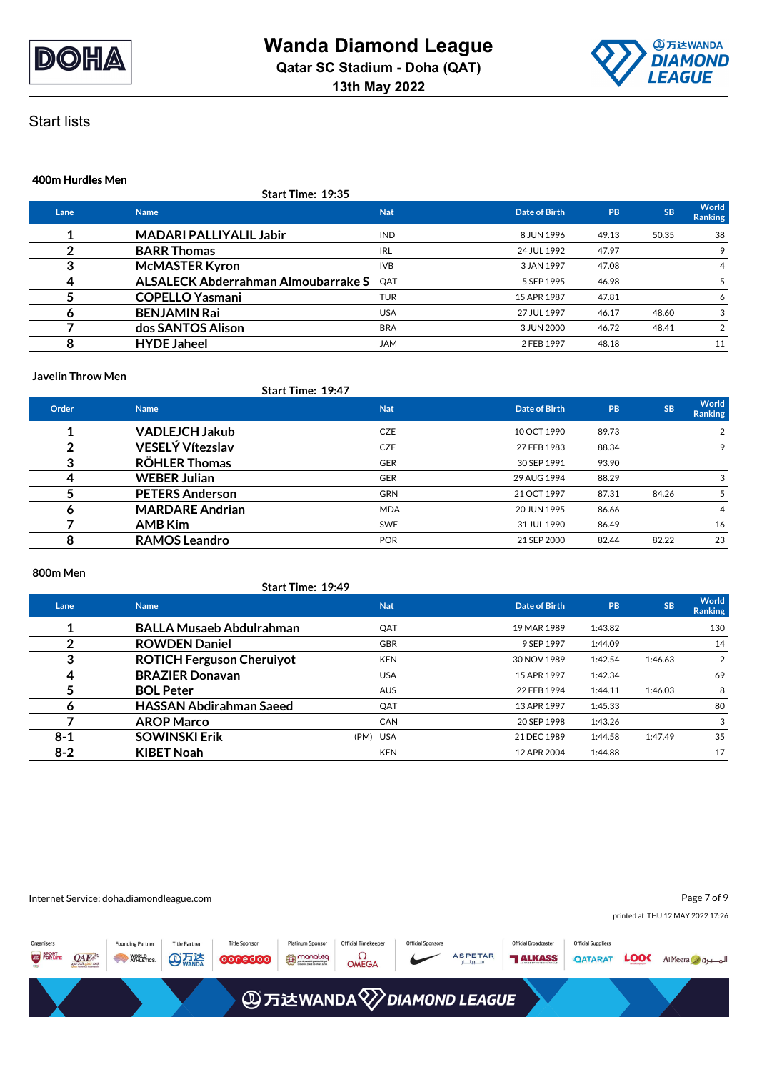



# Start lists

### **400m Hurdles Men**

|      | <b>Start Time: 19:35</b>                   |            |               |           |           |                         |
|------|--------------------------------------------|------------|---------------|-----------|-----------|-------------------------|
| Lane | <b>Name</b>                                | <b>Nat</b> | Date of Birth | <b>PB</b> | <b>SB</b> | World<br><b>Ranking</b> |
|      | <b>MADARI PALLIYALIL Jabir</b>             | <b>IND</b> | 8 JUN 1996    | 49.13     | 50.35     | 38                      |
|      | <b>BARR Thomas</b>                         | <b>IRL</b> | 24 JUL 1992   | 47.97     |           |                         |
|      | <b>McMASTER Kyron</b>                      | <b>IVB</b> | 3 JAN 1997    | 47.08     |           | 4                       |
| 4    | <b>ALSALECK Abderrahman Almoubarrake S</b> | OAT        | 5 SEP 1995    | 46.98     |           |                         |
|      | <b>COPELLO Yasmani</b>                     | <b>TUR</b> | 15 APR 1987   | 47.81     |           |                         |
| o    | <b>BENJAMIN Rai</b>                        | <b>USA</b> | 27 JUL 1997   | 46.17     | 48.60     | 3                       |
|      | dos SANTOS Alison                          | <b>BRA</b> | 3 JUN 2000    | 46.72     | 48.41     | 2                       |
| 8    | <b>HYDE Jaheel</b>                         | <b>JAM</b> | 2 FEB 1997    | 48.18     |           | 11                      |

#### **Javelin Throw Men**

|       |                         | Start Time: 19:47 |               |       |           |                  |
|-------|-------------------------|-------------------|---------------|-------|-----------|------------------|
| Order | <b>Name</b>             | <b>Nat</b>        | Date of Birth | PB    | <b>SB</b> | World<br>Ranking |
|       | <b>VADLEJCH Jakub</b>   | <b>CZE</b>        | 10 OCT 1990   | 89.73 |           | 2                |
|       | <b>VESELÝ Vítezslav</b> | <b>CZE</b>        | 27 FEB 1983   | 88.34 |           | 9                |
| د     | <b>RÖHLER Thomas</b>    | <b>GER</b>        | 30 SEP 1991   | 93.90 |           |                  |
| 4     | <b>WEBER Julian</b>     | <b>GER</b>        | 29 AUG 1994   | 88.29 |           | 3                |
|       | <b>PETERS Anderson</b>  | <b>GRN</b>        | 21 OCT 1997   | 87.31 | 84.26     |                  |
| O     | <b>MARDARE Andrian</b>  | <b>MDA</b>        | 20 JUN 1995   | 86.66 |           | 4                |
|       | <b>AMB Kim</b>          | <b>SWE</b>        | 31 JUL 1990   | 86.49 |           | 16               |
| 8     | <b>RAMOS Leandro</b>    | <b>POR</b>        | 21 SEP 2000   | 82.44 | 82.22     | 23               |

### **800m Men**

|         | Start Time: 19:49                |            |               |         |           |                  |
|---------|----------------------------------|------------|---------------|---------|-----------|------------------|
| Lane    | <b>Name</b>                      | <b>Nat</b> | Date of Birth | PB      | <b>SB</b> | World<br>Ranking |
|         | <b>BALLA Musaeb Abdulrahman</b>  | QAT        | 19 MAR 1989   | 1:43.82 |           | 130              |
|         | <b>ROWDEN Daniel</b>             | <b>GBR</b> | 9 SEP 1997    | 1:44.09 |           | 14               |
| 3       | <b>ROTICH Ferguson Cheruiyot</b> | <b>KEN</b> | 30 NOV 1989   | 1:42.54 | 1:46.63   | 2                |
| 4       | <b>BRAZIER Donavan</b>           | <b>USA</b> | 15 APR 1997   | 1:42.34 |           | 69               |
|         | <b>BOL Peter</b>                 | <b>AUS</b> | 22 FEB 1994   | 1:44.11 | 1:46.03   | 8                |
| 6       | <b>HASSAN Abdirahman Saeed</b>   | QAT        | 13 APR 1997   | 1:45.33 |           | 80               |
|         | <b>AROP Marco</b>                | <b>CAN</b> | 20 SEP 1998   | 1:43.26 |           | 3                |
| $8 - 1$ | <b>SOWINSKI Erik</b>             | (PM) USA   | 21 DEC 1989   | 1:44.58 | 1:47.49   | 35               |
| $8 - 2$ | <b>KIBET Noah</b>                | <b>KEN</b> | 12 APR 2004   | 1:44.88 |           | 17               |

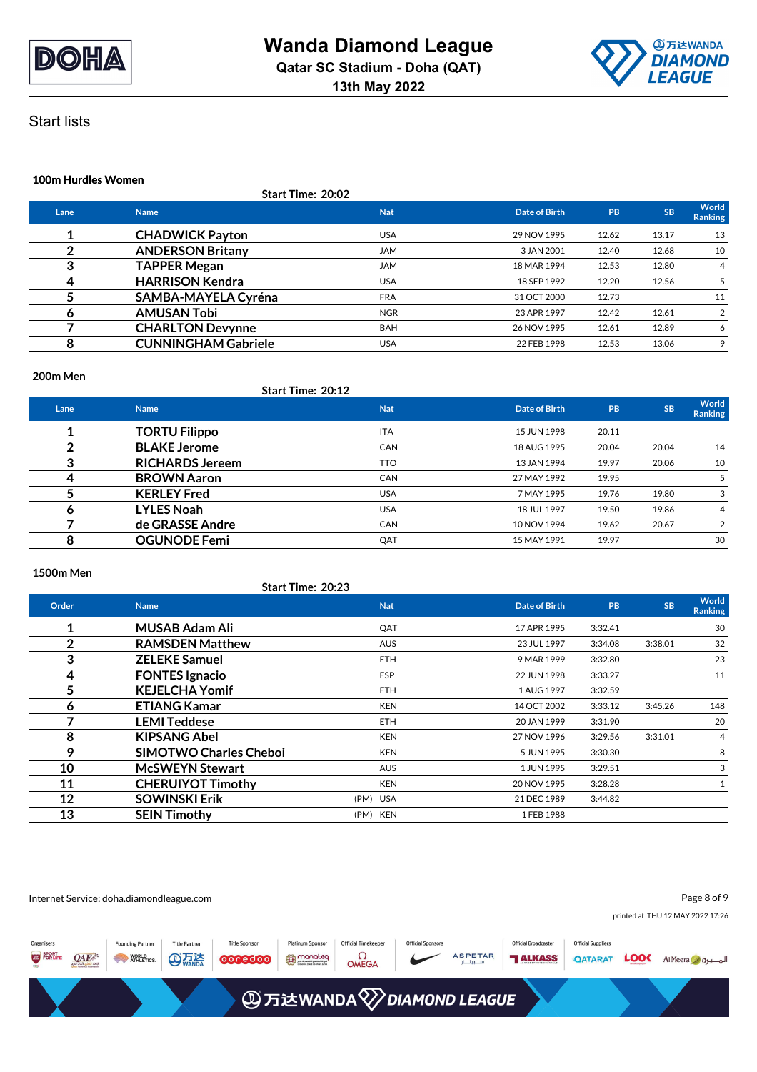



### **100m Hurdles Women**

|      | Start Time: 20:02          |            |               |           |           |                         |
|------|----------------------------|------------|---------------|-----------|-----------|-------------------------|
| Lane | <b>Name</b>                | <b>Nat</b> | Date of Birth | <b>PB</b> | <b>SB</b> | World<br><b>Ranking</b> |
|      | <b>CHADWICK Payton</b>     | <b>USA</b> | 29 NOV 1995   | 12.62     | 13.17     | 13                      |
|      | <b>ANDERSON Britany</b>    | <b>JAM</b> | 3 JAN 2001    | 12.40     | 12.68     | 10                      |
| 3    | <b>TAPPER Megan</b>        | <b>JAM</b> | 18 MAR 1994   | 12.53     | 12.80     | 4                       |
| 4    | <b>HARRISON Kendra</b>     | <b>USA</b> | 18 SEP 1992   | 12.20     | 12.56     | 5                       |
|      | <b>SAMBA-MAYELA Cyréna</b> | <b>FRA</b> | 31 OCT 2000   | 12.73     |           | 11                      |
|      | <b>AMUSAN Tobi</b>         | <b>NGR</b> | 23 APR 1997   | 12.42     | 12.61     | $\overline{2}$          |
|      | <b>CHARLTON Devynne</b>    | <b>BAH</b> | 26 NOV 1995   | 12.61     | 12.89     | 6                       |
| 8    | <b>CUNNINGHAM Gabriele</b> | <b>USA</b> | 22 FEB 1998   | 12.53     | 13.06     |                         |

#### **200m Men**

|      |                        | <b>Start Time: 20:12</b> |               |           |           |                  |
|------|------------------------|--------------------------|---------------|-----------|-----------|------------------|
| Lane | <b>Name</b>            | <b>Nat</b>               | Date of Birth | <b>PB</b> | <b>SB</b> | World<br>Ranking |
|      | <b>TORTU Filippo</b>   | <b>ITA</b>               | 15 JUN 1998   | 20.11     |           |                  |
|      | <b>BLAKE Jerome</b>    | <b>CAN</b>               | 18 AUG 1995   | 20.04     | 20.04     | 14               |
|      | <b>RICHARDS Jereem</b> | <b>TTO</b>               | 13 JAN 1994   | 19.97     | 20.06     | 10               |
|      | <b>BROWN Aaron</b>     | <b>CAN</b>               | 27 MAY 1992   | 19.95     |           | 5                |
|      | <b>KERLEY Fred</b>     | <b>USA</b>               | 7 MAY 1995    | 19.76     | 19.80     | 3                |
| o    | <b>LYLES Noah</b>      | <b>USA</b>               | 18 JUL 1997   | 19.50     | 19.86     | $\overline{4}$   |
|      | de GRASSE Andre        | <b>CAN</b>               | 10 NOV 1994   | 19.62     | 20.67     | $\overline{2}$   |
| 8    | <b>OGUNODE Femi</b>    | QAT                      | 15 MAY 1991   | 19.97     |           | 30               |

### **1500m Men**

|              | <b>Start Time: 20:23</b>      |            |               |         |           |                         |
|--------------|-------------------------------|------------|---------------|---------|-----------|-------------------------|
| Order        | <b>Name</b>                   | <b>Nat</b> | Date of Birth | PB      | <b>SB</b> | World<br><b>Ranking</b> |
| 1            | <b>MUSAB Adam Ali</b>         | QAT        | 17 APR 1995   | 3:32.41 |           | 30                      |
| $\mathbf{2}$ | <b>RAMSDEN Matthew</b>        | <b>AUS</b> | 23 JUL 1997   | 3:34.08 | 3:38.01   | 32                      |
| 3            | <b>ZELEKE Samuel</b>          | <b>ETH</b> | 9 MAR 1999    | 3:32.80 |           | 23                      |
| 4            | <b>FONTES Ignacio</b>         | <b>ESP</b> | 22 JUN 1998   | 3:33.27 |           | 11                      |
| 5            | <b>KEJELCHA Yomif</b>         | <b>ETH</b> | 1 AUG 1997    | 3:32.59 |           |                         |
| 6            | <b>ETIANG Kamar</b>           | <b>KEN</b> | 14 OCT 2002   | 3:33.12 | 3:45.26   | 148                     |
| 7            | <b>LEMI Teddese</b>           | <b>ETH</b> | 20 JAN 1999   | 3:31.90 |           | 20                      |
| 8            | <b>KIPSANG Abel</b>           | <b>KEN</b> | 27 NOV 1996   | 3:29.56 | 3:31.01   | 4                       |
| 9            | <b>SIMOTWO Charles Cheboi</b> | <b>KEN</b> | 5 JUN 1995    | 3:30.30 |           | 8                       |
| 10           | <b>McSWEYN Stewart</b>        | <b>AUS</b> | 1 JUN 1995    | 3:29.51 |           | 3                       |
| 11           | <b>CHERUIYOT Timothy</b>      | <b>KEN</b> | 20 NOV 1995   | 3:28.28 |           | 1                       |
| 12           | <b>SOWINSKI Erik</b>          | (PM) USA   | 21 DEC 1989   | 3:44.82 |           |                         |
| 13           | <b>SEIN Timothy</b>           | (PM) KEN   | 1 FEB 1988    |         |           |                         |